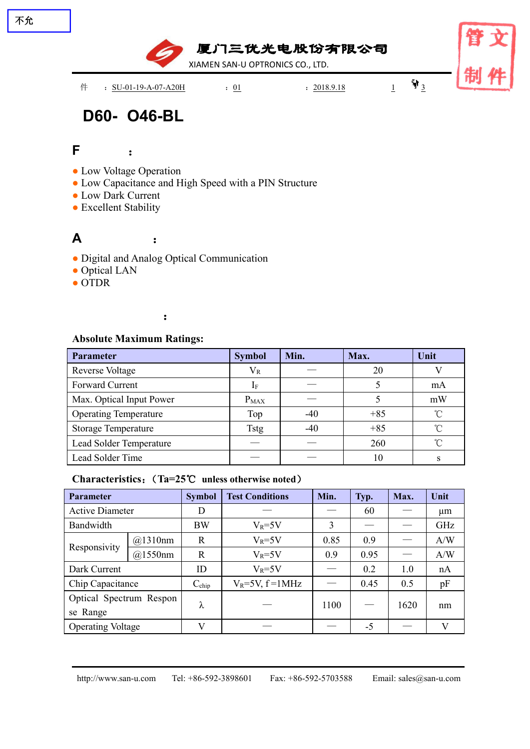

# **D60- O46-BL**

# **F** :

不允

- Low Voltage Operation
- Low Capacitance and High Speed with a PIN Structure
- Low Dark Current
- Excellent Stability

## **A** :

- Digital and Analog Optical Communication
- Optical LAN
- OTDR

## :

### **Absolute Maximum Ratings:**

| Parameter                    | <b>Symbol</b> | Min.  | Max.  | Unit       |
|------------------------------|---------------|-------|-------|------------|
| <b>Reverse Voltage</b>       | $V_{R}$       |       | 20    |            |
| Forward Current              |               |       |       | mA         |
| Max. Optical Input Power     | $P_{MAX}$     |       |       | mW         |
| <b>Operating Temperature</b> | Top           | $-40$ | $+85$ | $^{\circ}$ |
| <b>Storage Temperature</b>   | <b>Tstg</b>   | $-40$ | $+85$ | $^{\circ}$ |
| Lead Solder Temperature      |               |       | 260   | $^{\circ}$ |
| Lead Solder Time             |               |       | 10    |            |

### **Characteristics**:(**Ta=25**℃ **unless otherwise noted**)

| <b>Parameter</b>         |                                              | <b>Symbol</b> | <b>Test Conditions</b> | Min. | Typ.              | Max. | Unit    |
|--------------------------|----------------------------------------------|---------------|------------------------|------|-------------------|------|---------|
| <b>Active Diameter</b>   |                                              | D             |                        |      | 60                |      | $\mu$ m |
| Bandwidth                |                                              | <b>BW</b>     | $V_R = 5V$             | 3    |                   | ___  | GHz     |
| Responsivity             | @1310nm                                      | $\mathbf R$   | $V_R = 5V$             | 0.85 | 0.9               |      | A/W     |
|                          | @1550nm                                      | $\mathbf R$   | $V_R = 5V$             | 0.9  | 0.95              |      | A/W     |
| Dark Current             |                                              | ID            | $V_R = 5V$             |      | 0.2               | 1.0  | nA      |
| Chip Capacitance         | $V_R = 5V$ , $f = 1MHz$<br>$C_{\text{chip}}$ |               |                        | 0.45 | 0.5               | pF   |         |
|                          | Optical Spectrum Respon                      |               |                        | 1100 | $\hspace{0.05cm}$ | 1620 | nm      |
| se Range                 |                                              | ⋏             |                        |      |                   |      |         |
| <b>Operating Voltage</b> |                                              | $\mathbf{V}$  |                        |      | $-5$              |      | V       |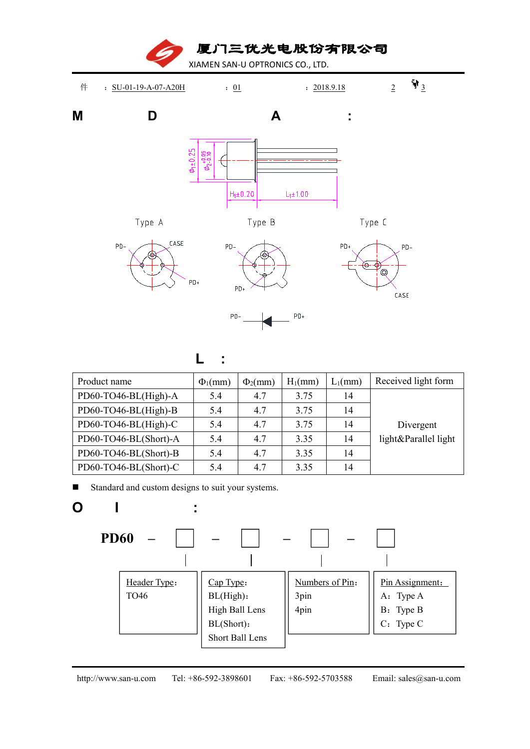厦门三优光电股份有限公司 XIAMEN SAN-U OPTRONICS CO., LTD. 件 : <u>SU-01-19-A-07-A20H</u> : <u>01</u> : 2018.9.18 2 射<sub>3</sub> **M D A :**  $L_1 \pm 1.00$  $H_1 \pm 0.20$ Type A Type B Type C CASE  $PD PD+$  $PD PD-$ ਇ−⊲  $\rm \odot$  $PD+$  $PD<sub>1</sub>$ CASE  $PD+$ PD.

**L :**

| Product name          | $\Phi_1$ (mm) | $\Phi_2$ (mm) | $H_1$ (mm) | $L_1$ (mm) | Received light form  |
|-----------------------|---------------|---------------|------------|------------|----------------------|
| PD60-TO46-BL(High)-A  | 5.4           | 4.7           | 3.75       | 14         |                      |
| PD60-TO46-BL(High)-B  | 5.4           | 4.7           | 3.75       | 14         | Divergent            |
| PD60-TO46-BL(High)-C  | 5.4           | 4.7           | 3.75       | 14         |                      |
| PD60-TO46-BL(Short)-A | 5.4           | 4.7           | 3.35       | 14         | light&Parallel light |
| PD60-TO46-BL(Short)-B | 5.4           | 4.7           | 3.35       | 14         |                      |
| PD60-TO46-BL(Short)-C | 5.4           | 4.7           | 3.35       | 14         |                      |

Standard and custom designs to suit your systems.